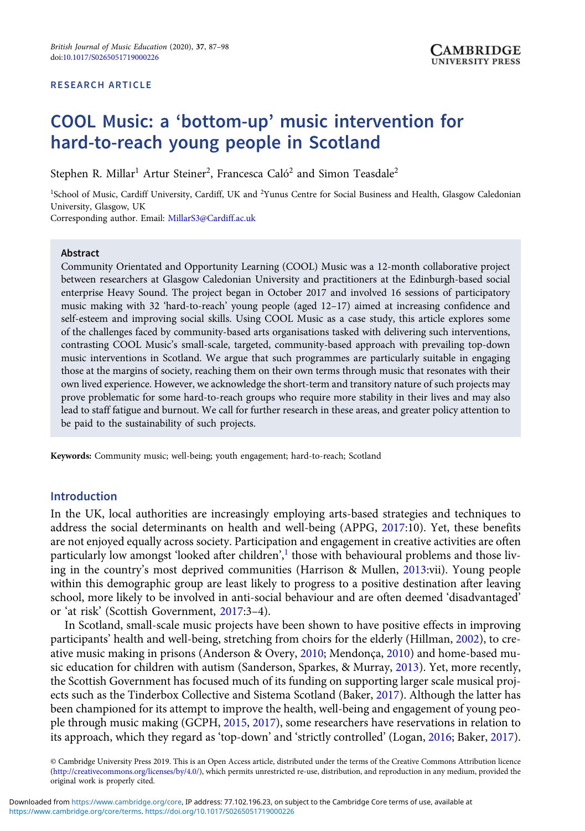#### RESEARCH ARTICLE

# COOL Music: a 'bottom-up' music intervention for hard-to-reach young people in Scotland

Stephen R. Millar $^1$  Artur Steiner $^2$ , Francesca Caló $^2$  and Simon Teasdale $^2$ 

<sup>1</sup>School of Music, Cardiff University, Cardiff, UK and <sup>2</sup>Yunus Centre for Social Business and Health, Glasgow Caledonian University, Glasgow, UK

Corresponding author. Email: [MillarS3@Cardiff.ac.uk](mailto:MillarS3@Cardiff.ac.uk)

#### Abstract

Community Orientated and Opportunity Learning (COOL) Music was a 12-month collaborative project between researchers at Glasgow Caledonian University and practitioners at the Edinburgh-based social enterprise Heavy Sound. The project began in October 2017 and involved 16 sessions of participatory music making with 32 'hard-to-reach' young people (aged 12–17) aimed at increasing confidence and self-esteem and improving social skills. Using COOL Music as a case study, this article explores some of the challenges faced by community-based arts organisations tasked with delivering such interventions, contrasting COOL Music's small-scale, targeted, community-based approach with prevailing top-down music interventions in Scotland. We argue that such programmes are particularly suitable in engaging those at the margins of society, reaching them on their own terms through music that resonates with their own lived experience. However, we acknowledge the short-term and transitory nature of such projects may prove problematic for some hard-to-reach groups who require more stability in their lives and may also lead to staff fatigue and burnout. We call for further research in these areas, and greater policy attention to be paid to the sustainability of such projects.

Keywords: Community music; well-being; youth engagement; hard-to-reach; Scotland

# Introduction

In the UK, local authorities are increasingly employing arts-based strategies and techniques to address the social determinants on health and well-being (APPG, [2017:](#page-9-0)10). Yet, these benefits are not enjoyed equally across society. Participation and engagement in creative activities are often particularly low amongst 'looked after children',<sup>[1](#page-9-0)</sup> those with behavioural problems and those living in the country's most deprived communities (Harrison & Mullen, [2013:](#page-10-0)vii). Young people within this demographic group are least likely to progress to a positive destination after leaving school, more likely to be involved in anti-social behaviour and are often deemed 'disadvantaged' or 'at risk' (Scottish Government, [2017](#page-10-0):3–4).

In Scotland, small-scale music projects have been shown to have positive effects in improving participants' health and well-being, stretching from choirs for the elderly (Hillman, [2002](#page-10-0)), to creative music making in prisons (Anderson & Overy, [2010;](#page-9-0) Mendonça, [2010\)](#page-10-0) and home-based music education for children with autism (Sanderson, Sparkes, & Murray, [2013](#page-10-0)). Yet, more recently, the Scottish Government has focused much of its funding on supporting larger scale musical projects such as the Tinderbox Collective and Sistema Scotland (Baker, [2017\)](#page-9-0). Although the latter has been championed for its attempt to improve the health, well-being and engagement of young people through music making (GCPH, [2015](#page-10-0), [2017\)](#page-10-0), some researchers have reservations in relation to its approach, which they regard as 'top-down' and 'strictly controlled' (Logan, [2016;](#page-10-0) Baker, [2017](#page-9-0)).

© Cambridge University Press 2019. This is an Open Access article, distributed under the terms of the Creative Commons Attribution licence ([http://creativecommons.org/licenses/by/4.0/\)](http://creativecommons.org/licenses/by/4.0/), which permits unrestricted re-use, distribution, and reproduction in any medium, provided the original work is properly cited.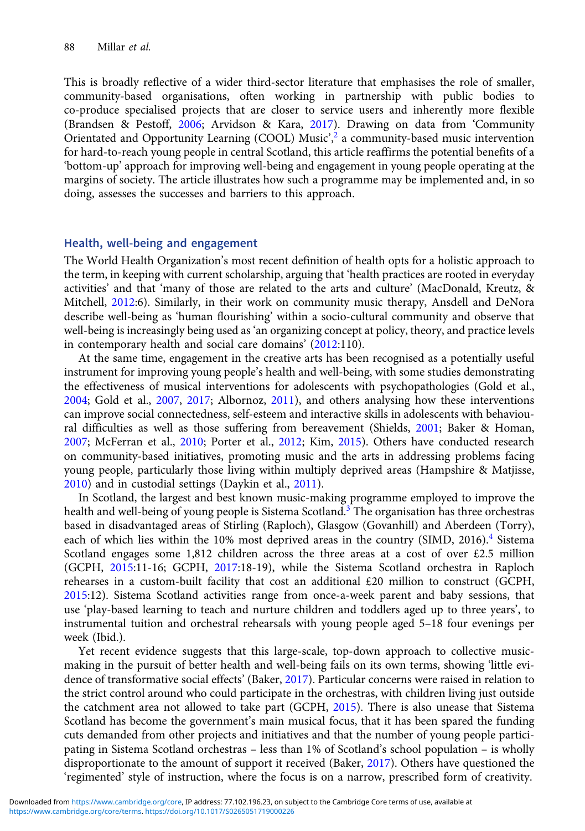This is broadly reflective of a wider third-sector literature that emphasises the role of smaller, community-based organisations, often working in partnership with public bodies to co-produce specialised projects that are closer to service users and inherently more flexible (Brandsen & Pestoff, [2006](#page-9-0); Arvidson & Kara, [2017](#page-9-0)). Drawing on data from 'Community Orientated and Opportunity Learning (COOL) Music', [2](#page-9-0) a community-based music intervention for hard-to-reach young people in central Scotland, this article reaffirms the potential benefits of a 'bottom-up' approach for improving well-being and engagement in young people operating at the margins of society. The article illustrates how such a programme may be implemented and, in so doing, assesses the successes and barriers to this approach.

#### Health, well-being and engagement

The World Health Organization's most recent definition of health opts for a holistic approach to the term, in keeping with current scholarship, arguing that 'health practices are rooted in everyday activities' and that 'many of those are related to the arts and culture' (MacDonald, Kreutz, & Mitchell, [2012:](#page-10-0)6). Similarly, in their work on community music therapy, Ansdell and DeNora describe well-being as 'human flourishing' within a socio-cultural community and observe that well-being is increasingly being used as 'an organizing concept at policy, theory, and practice levels in contemporary health and social care domains' [\(2012:](#page-9-0)110).

At the same time, engagement in the creative arts has been recognised as a potentially useful instrument for improving young people's health and well-being, with some studies demonstrating the effectiveness of musical interventions for adolescents with psychopathologies (Gold et al., [2004;](#page-10-0) Gold et al., [2007](#page-10-0), [2017](#page-10-0); Albornoz, [2011](#page-9-0)), and others analysing how these interventions can improve social connectedness, self-esteem and interactive skills in adolescents with behavioural difficulties as well as those suffering from bereavement (Shields, [2001](#page-10-0); Baker & Homan, [2007;](#page-9-0) McFerran et al., [2010;](#page-10-0) Porter et al., [2012;](#page-10-0) Kim, [2015\)](#page-10-0). Others have conducted research on community-based initiatives, promoting music and the arts in addressing problems facing young people, particularly those living within multiply deprived areas (Hampshire & Matjisse, [2010\)](#page-10-0) and in custodial settings (Daykin et al., [2011](#page-9-0)).

In Scotland, the largest and best known music-making programme employed to improve the health and well-being of young people is Sistema Scotland.<sup>[3](#page-9-0)</sup> The organisation has three orchestras based in disadvantaged areas of Stirling (Raploch), Glasgow (Govanhill) and Aberdeen (Torry), each of which lies within the 10% most deprived areas in the country (SIMD, 2016).<sup>[4](#page-9-0)</sup> Sistema Scotland engages some 1,812 children across the three areas at a cost of over £2.5 million (GCPH, [2015](#page-10-0):11-16; GCPH, [2017](#page-10-0):18-19), while the Sistema Scotland orchestra in Raploch rehearses in a custom-built facility that cost an additional £20 million to construct (GCPH, [2015:](#page-10-0)12). Sistema Scotland activities range from once-a-week parent and baby sessions, that use 'play-based learning to teach and nurture children and toddlers aged up to three years', to instrumental tuition and orchestral rehearsals with young people aged 5–18 four evenings per week (Ibid.).

Yet recent evidence suggests that this large-scale, top-down approach to collective musicmaking in the pursuit of better health and well-being fails on its own terms, showing 'little evidence of transformative social effects' (Baker, [2017\)](#page-9-0). Particular concerns were raised in relation to the strict control around who could participate in the orchestras, with children living just outside the catchment area not allowed to take part (GCPH, [2015\)](#page-10-0). There is also unease that Sistema Scotland has become the government's main musical focus, that it has been spared the funding cuts demanded from other projects and initiatives and that the number of young people participating in Sistema Scotland orchestras – less than 1% of Scotland's school population – is wholly disproportionate to the amount of support it received (Baker, [2017](#page-9-0)). Others have questioned the 'regimented' style of instruction, where the focus is on a narrow, prescribed form of creativity.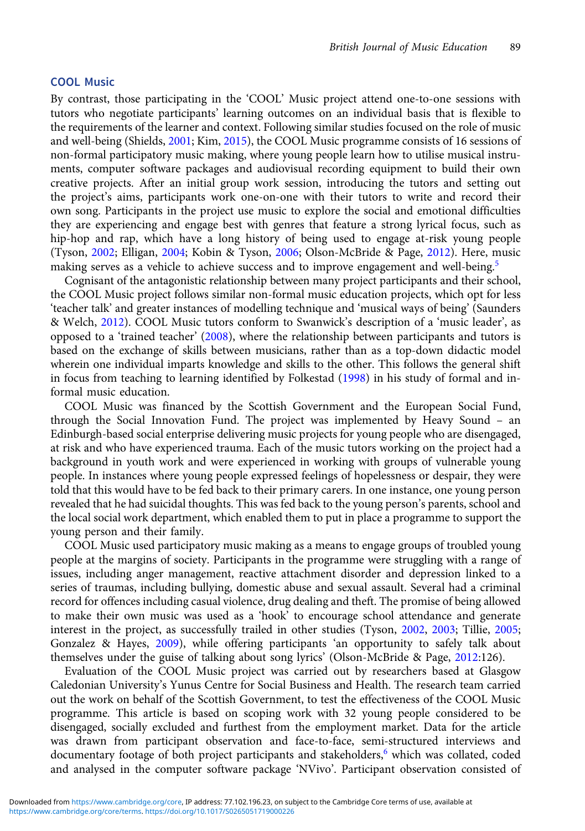#### COOL Music

By contrast, those participating in the 'COOL' Music project attend one-to-one sessions with tutors who negotiate participants' learning outcomes on an individual basis that is flexible to the requirements of the learner and context. Following similar studies focused on the role of music and well-being (Shields, [2001;](#page-10-0) Kim, [2015](#page-10-0)), the COOL Music programme consists of 16 sessions of non-formal participatory music making, where young people learn how to utilise musical instruments, computer software packages and audiovisual recording equipment to build their own creative projects. After an initial group work session, introducing the tutors and setting out the project's aims, participants work one-on-one with their tutors to write and record their own song. Participants in the project use music to explore the social and emotional difficulties they are experiencing and engage best with genres that feature a strong lyrical focus, such as hip-hop and rap, which have a long history of being used to engage at-risk young people (Tyson, [2002;](#page-11-0) Elligan, [2004](#page-9-0); Kobin & Tyson, [2006;](#page-10-0) Olson-McBride & Page, [2012\)](#page-10-0). Here, music making serves as a vehicle to achieve success and to improve engagement and well-being.<sup>[5](#page-9-0)</sup>

Cognisant of the antagonistic relationship between many project participants and their school, the COOL Music project follows similar non-formal music education projects, which opt for less 'teacher talk' and greater instances of modelling technique and 'musical ways of being' (Saunders & Welch, [2012\)](#page-10-0). COOL Music tutors conform to Swanwick's description of a 'music leader', as opposed to a 'trained teacher' ([2008\)](#page-11-0), where the relationship between participants and tutors is based on the exchange of skills between musicians, rather than as a top-down didactic model wherein one individual imparts knowledge and skills to the other. This follows the general shift in focus from teaching to learning identified by Folkestad ([1998](#page-10-0)) in his study of formal and informal music education.

COOL Music was financed by the Scottish Government and the European Social Fund, through the Social Innovation Fund. The project was implemented by Heavy Sound – an Edinburgh-based social enterprise delivering music projects for young people who are disengaged, at risk and who have experienced trauma. Each of the music tutors working on the project had a background in youth work and were experienced in working with groups of vulnerable young people. In instances where young people expressed feelings of hopelessness or despair, they were told that this would have to be fed back to their primary carers. In one instance, one young person revealed that he had suicidal thoughts. This was fed back to the young person's parents, school and the local social work department, which enabled them to put in place a programme to support the young person and their family.

COOL Music used participatory music making as a means to engage groups of troubled young people at the margins of society. Participants in the programme were struggling with a range of issues, including anger management, reactive attachment disorder and depression linked to a series of traumas, including bullying, domestic abuse and sexual assault. Several had a criminal record for offences including casual violence, drug dealing and theft. The promise of being allowed to make their own music was used as a 'hook' to encourage school attendance and generate interest in the project, as successfully trailed in other studies (Tyson, [2002](#page-11-0), [2003;](#page-11-0) Tillie, [2005;](#page-11-0) Gonzalez & Hayes, [2009\)](#page-10-0), while offering participants 'an opportunity to safely talk about themselves under the guise of talking about song lyrics' (Olson-McBride & Page, [2012](#page-10-0):126).

Evaluation of the COOL Music project was carried out by researchers based at Glasgow Caledonian University's Yunus Centre for Social Business and Health. The research team carried out the work on behalf of the Scottish Government, to test the effectiveness of the COOL Music programme. This article is based on scoping work with 32 young people considered to be disengaged, socially excluded and furthest from the employment market. Data for the article was drawn from participant observation and face-to-face, semi-structured interviews and documentary footage of both project participants and stakeholders,<sup>[6](#page-9-0)</sup> which was collated, coded and analysed in the computer software package 'NVivo'. Participant observation consisted of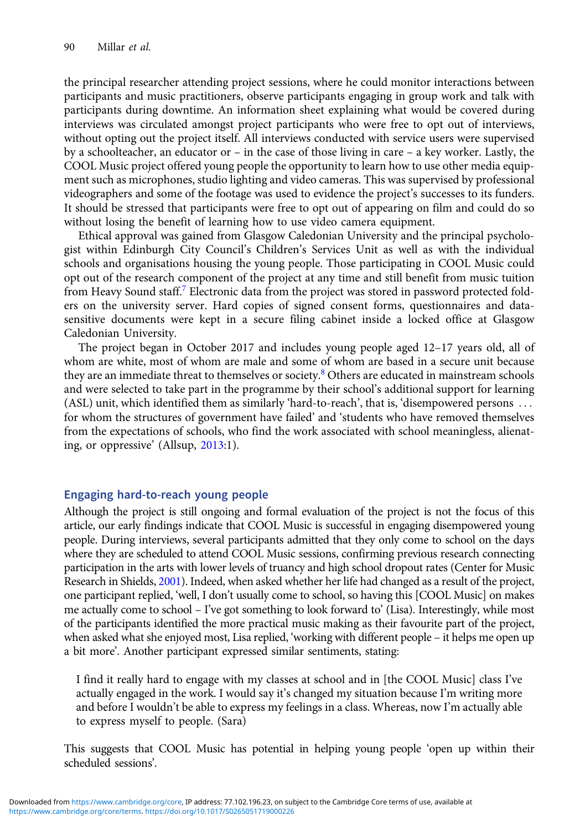the principal researcher attending project sessions, where he could monitor interactions between participants and music practitioners, observe participants engaging in group work and talk with participants during downtime. An information sheet explaining what would be covered during interviews was circulated amongst project participants who were free to opt out of interviews, without opting out the project itself. All interviews conducted with service users were supervised by a schoolteacher, an educator or – in the case of those living in care – a key worker. Lastly, the COOL Music project offered young people the opportunity to learn how to use other media equipment such as microphones, studio lighting and video cameras. This was supervised by professional videographers and some of the footage was used to evidence the project's successes to its funders. It should be stressed that participants were free to opt out of appearing on film and could do so without losing the benefit of learning how to use video camera equipment.

Ethical approval was gained from Glasgow Caledonian University and the principal psychologist within Edinburgh City Council's Children's Services Unit as well as with the individual schools and organisations housing the young people. Those participating in COOL Music could opt out of the research component of the project at any time and still benefit from music tuition from Heavy Sound staff. Electronic data from the project was stored in password protected folders on the university server. Hard copies of signed consent forms, questionnaires and datasensitive documents were kept in a secure filing cabinet inside a locked office at Glasgow Caledonian University.

The project began in October 2017 and includes young people aged 12–17 years old, all of whom are white, most of whom are male and some of whom are based in a secure unit because they are an immediate threat to themselves or society.<sup>[8](#page-9-0)</sup> Others are educated in mainstream schools and were selected to take part in the programme by their school's additional support for learning (ASL) unit, which identified them as similarly 'hard-to-reach', that is, 'disempowered persons ::: for whom the structures of government have failed' and 'students who have removed themselves from the expectations of schools, who find the work associated with school meaningless, alienating, or oppressive' (Allsup, [2013:](#page-9-0)1).

# Engaging hard-to-reach young people

Although the project is still ongoing and formal evaluation of the project is not the focus of this article, our early findings indicate that COOL Music is successful in engaging disempowered young people. During interviews, several participants admitted that they only come to school on the days where they are scheduled to attend COOL Music sessions, confirming previous research connecting participation in the arts with lower levels of truancy and high school dropout rates (Center for Music Research in Shields, [2001\)](#page-10-0). Indeed, when asked whether her life had changed as a result of the project, one participant replied, 'well, I don't usually come to school, so having this [COOL Music] on makes me actually come to school – I've got something to look forward to' (Lisa). Interestingly, while most of the participants identified the more practical music making as their favourite part of the project, when asked what she enjoyed most, Lisa replied, 'working with different people – it helps me open up a bit more'. Another participant expressed similar sentiments, stating:

I find it really hard to engage with my classes at school and in [the COOL Music] class I've actually engaged in the work. I would say it's changed my situation because I'm writing more and before I wouldn't be able to express my feelings in a class. Whereas, now I'm actually able to express myself to people. (Sara)

This suggests that COOL Music has potential in helping young people 'open up within their scheduled sessions'.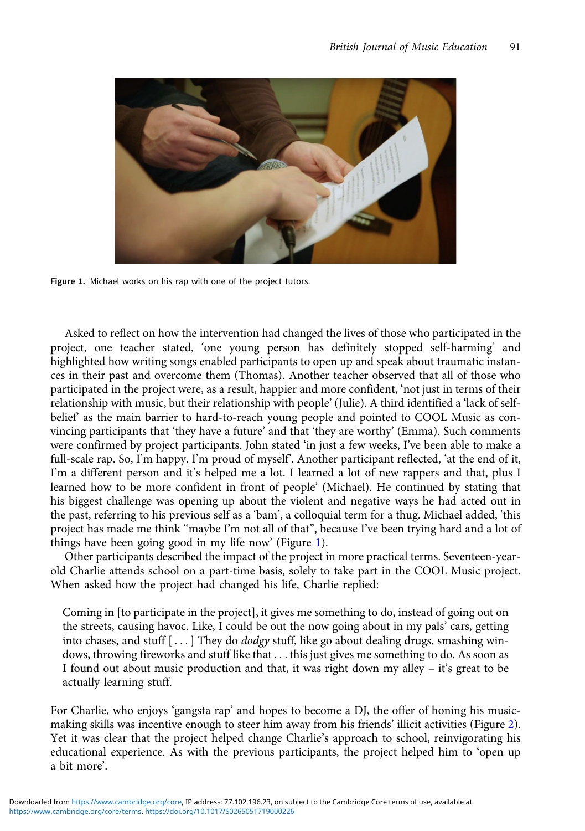

Figure 1. Michael works on his rap with one of the project tutors.

Asked to reflect on how the intervention had changed the lives of those who participated in the project, one teacher stated, 'one young person has definitely stopped self-harming' and highlighted how writing songs enabled participants to open up and speak about traumatic instances in their past and overcome them (Thomas). Another teacher observed that all of those who participated in the project were, as a result, happier and more confident, 'not just in terms of their relationship with music, but their relationship with people' (Julie). A third identified a 'lack of selfbelief' as the main barrier to hard-to-reach young people and pointed to COOL Music as convincing participants that 'they have a future' and that 'they are worthy' (Emma). Such comments were confirmed by project participants. John stated 'in just a few weeks, I've been able to make a full-scale rap. So, I'm happy. I'm proud of myself'. Another participant reflected, 'at the end of it, I'm a different person and it's helped me a lot. I learned a lot of new rappers and that, plus I learned how to be more confident in front of people' (Michael). He continued by stating that his biggest challenge was opening up about the violent and negative ways he had acted out in the past, referring to his previous self as a 'bam', a colloquial term for a thug. Michael added, 'this project has made me think "maybe I'm not all of that", because I've been trying hard and a lot of things have been going good in my life now' (Figure 1).

Other participants described the impact of the project in more practical terms. Seventeen-yearold Charlie attends school on a part-time basis, solely to take part in the COOL Music project. When asked how the project had changed his life, Charlie replied:

Coming in [to participate in the project], it gives me something to do, instead of going out on the streets, causing havoc. Like, I could be out the now going about in my pals' cars, getting into chases, and stuff  $[...]$  They do *dodgy* stuff, like go about dealing drugs, smashing windows, throwing fireworks and stuff like that . . . this just gives me something to do. As soon as I found out about music production and that, it was right down my alley – it's great to be actually learning stuff.

For Charlie, who enjoys 'gangsta rap' and hopes to become a DJ, the offer of honing his musicmaking skills was incentive enough to steer him away from his friends' illicit activities (Figure [2](#page-5-0)). Yet it was clear that the project helped change Charlie's approach to school, reinvigorating his educational experience. As with the previous participants, the project helped him to 'open up a bit more'.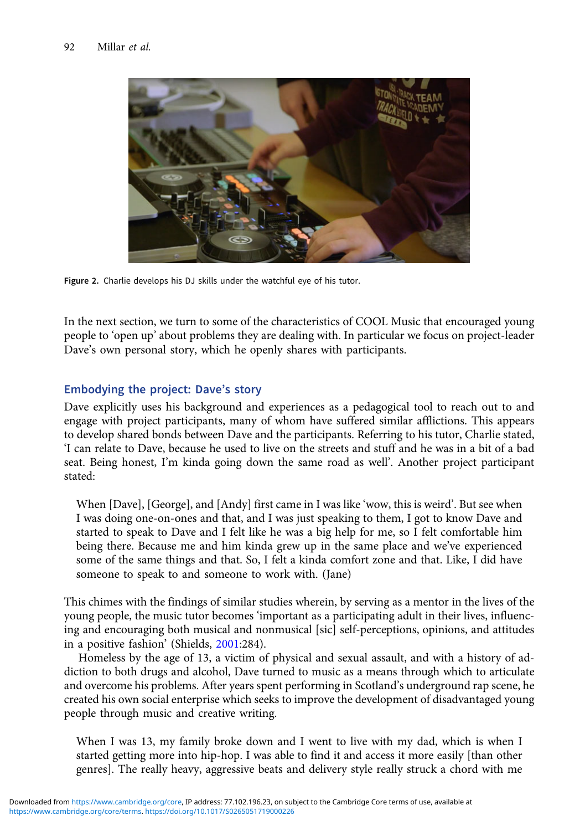<span id="page-5-0"></span>

Figure 2. Charlie develops his DJ skills under the watchful eye of his tutor.

In the next section, we turn to some of the characteristics of COOL Music that encouraged young people to 'open up' about problems they are dealing with. In particular we focus on project-leader Dave's own personal story, which he openly shares with participants.

# Embodying the project: Dave's story

Dave explicitly uses his background and experiences as a pedagogical tool to reach out to and engage with project participants, many of whom have suffered similar afflictions. This appears to develop shared bonds between Dave and the participants. Referring to his tutor, Charlie stated, 'I can relate to Dave, because he used to live on the streets and stuff and he was in a bit of a bad seat. Being honest, I'm kinda going down the same road as well'. Another project participant stated:

When [Dave], [George], and [Andy] first came in I was like 'wow, this is weird'. But see when I was doing one-on-ones and that, and I was just speaking to them, I got to know Dave and started to speak to Dave and I felt like he was a big help for me, so I felt comfortable him being there. Because me and him kinda grew up in the same place and we've experienced some of the same things and that. So, I felt a kinda comfort zone and that. Like, I did have someone to speak to and someone to work with. (Jane)

This chimes with the findings of similar studies wherein, by serving as a mentor in the lives of the young people, the music tutor becomes 'important as a participating adult in their lives, influencing and encouraging both musical and nonmusical [sic] self-perceptions, opinions, and attitudes in a positive fashion' (Shields, [2001:](#page-10-0)284).

Homeless by the age of 13, a victim of physical and sexual assault, and with a history of addiction to both drugs and alcohol, Dave turned to music as a means through which to articulate and overcome his problems. After years spent performing in Scotland's underground rap scene, he created his own social enterprise which seeks to improve the development of disadvantaged young people through music and creative writing.

When I was 13, my family broke down and I went to live with my dad, which is when I started getting more into hip-hop. I was able to find it and access it more easily [than other genres]. The really heavy, aggressive beats and delivery style really struck a chord with me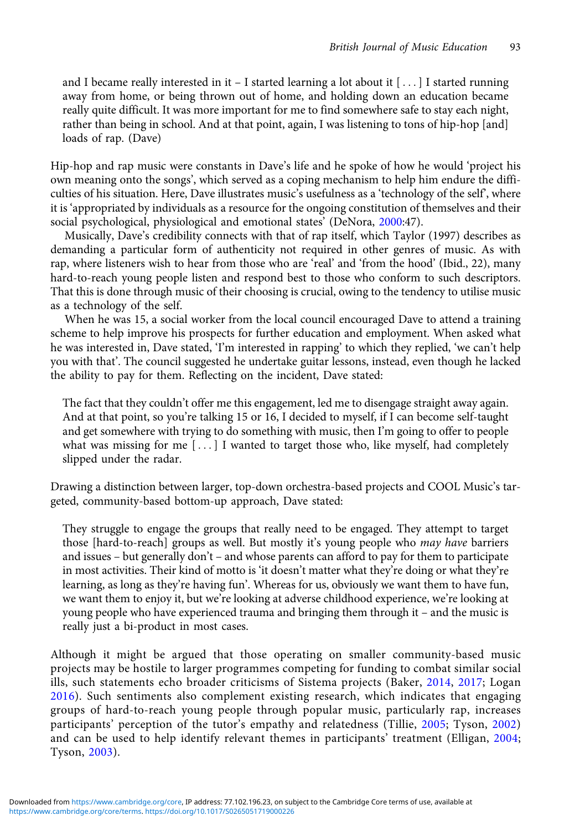and I became really interested in it  $-$  I started learning a lot about it  $[\dots]$  I started running away from home, or being thrown out of home, and holding down an education became really quite difficult. It was more important for me to find somewhere safe to stay each night, rather than being in school. And at that point, again, I was listening to tons of hip-hop [and] loads of rap. (Dave)

Hip-hop and rap music were constants in Dave's life and he spoke of how he would 'project his own meaning onto the songs', which served as a coping mechanism to help him endure the difficulties of his situation. Here, Dave illustrates music's usefulness as a 'technology of the self', where it is 'appropriated by individuals as a resource for the ongoing constitution of themselves and their social psychological, physiological and emotional states' (DeNora, [2000](#page-9-0):47).

Musically, Dave's credibility connects with that of rap itself, which Taylor (1997) describes as demanding a particular form of authenticity not required in other genres of music. As with rap, where listeners wish to hear from those who are 'real' and 'from the hood' (Ibid., 22), many hard-to-reach young people listen and respond best to those who conform to such descriptors. That this is done through music of their choosing is crucial, owing to the tendency to utilise music as a technology of the self.

When he was 15, a social worker from the local council encouraged Dave to attend a training scheme to help improve his prospects for further education and employment. When asked what he was interested in, Dave stated, 'I'm interested in rapping' to which they replied, 'we can't help you with that'. The council suggested he undertake guitar lessons, instead, even though he lacked the ability to pay for them. Reflecting on the incident, Dave stated:

The fact that they couldn't offer me this engagement, led me to disengage straight away again. And at that point, so you're talking 15 or 16, I decided to myself, if I can become self-taught and get somewhere with trying to do something with music, then I'm going to offer to people what was missing for me  $[...]$  I wanted to target those who, like myself, had completely slipped under the radar.

Drawing a distinction between larger, top-down orchestra-based projects and COOL Music's targeted, community-based bottom-up approach, Dave stated:

They struggle to engage the groups that really need to be engaged. They attempt to target those [hard-to-reach] groups as well. But mostly it's young people who *may have* barriers and issues – but generally don't – and whose parents can afford to pay for them to participate in most activities. Their kind of motto is 'it doesn't matter what they're doing or what they're learning, as long as they're having fun'. Whereas for us, obviously we want them to have fun, we want them to enjoy it, but we're looking at adverse childhood experience, we're looking at young people who have experienced trauma and bringing them through it – and the music is really just a bi-product in most cases.

Although it might be argued that those operating on smaller community-based music projects may be hostile to larger programmes competing for funding to combat similar social ills, such statements echo broader criticisms of Sistema projects (Baker, [2014](#page-9-0), [2017;](#page-9-0) Logan [2016\)](#page-10-0). Such sentiments also complement existing research, which indicates that engaging groups of hard-to-reach young people through popular music, particularly rap, increases participants' perception of the tutor's empathy and relatedness (Tillie, [2005;](#page-11-0) Tyson, [2002\)](#page-11-0) and can be used to help identify relevant themes in participants' treatment (Elligan, [2004;](#page-9-0) Tyson, [2003](#page-11-0)).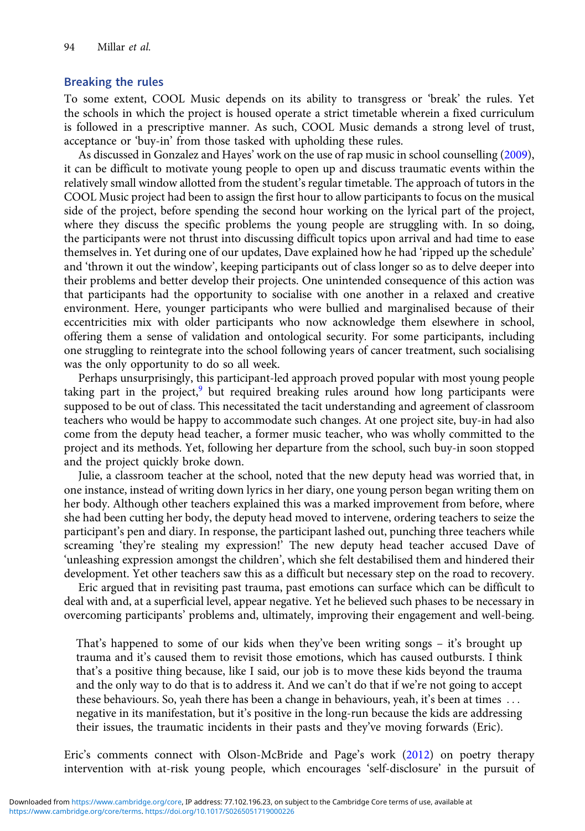# Breaking the rules

To some extent, COOL Music depends on its ability to transgress or 'break' the rules. Yet the schools in which the project is housed operate a strict timetable wherein a fixed curriculum is followed in a prescriptive manner. As such, COOL Music demands a strong level of trust, acceptance or 'buy-in' from those tasked with upholding these rules.

As discussed in Gonzalez and Hayes' work on the use of rap music in school counselling [\(2009\)](#page-10-0), it can be difficult to motivate young people to open up and discuss traumatic events within the relatively small window allotted from the student's regular timetable. The approach of tutors in the COOL Music project had been to assign the first hour to allow participants to focus on the musical side of the project, before spending the second hour working on the lyrical part of the project, where they discuss the specific problems the young people are struggling with. In so doing, the participants were not thrust into discussing difficult topics upon arrival and had time to ease themselves in. Yet during one of our updates, Dave explained how he had 'ripped up the schedule' and 'thrown it out the window', keeping participants out of class longer so as to delve deeper into their problems and better develop their projects. One unintended consequence of this action was that participants had the opportunity to socialise with one another in a relaxed and creative environment. Here, younger participants who were bullied and marginalised because of their eccentricities mix with older participants who now acknowledge them elsewhere in school, offering them a sense of validation and ontological security. For some participants, including one struggling to reintegrate into the school following years of cancer treatment, such socialising was the only opportunity to do so all week.

Perhaps unsurprisingly, this participant-led approach proved popular with most young people taking part in the project, $9$  but required breaking rules around how long participants were supposed to be out of class. This necessitated the tacit understanding and agreement of classroom teachers who would be happy to accommodate such changes. At one project site, buy-in had also come from the deputy head teacher, a former music teacher, who was wholly committed to the project and its methods. Yet, following her departure from the school, such buy-in soon stopped and the project quickly broke down.

Julie, a classroom teacher at the school, noted that the new deputy head was worried that, in one instance, instead of writing down lyrics in her diary, one young person began writing them on her body. Although other teachers explained this was a marked improvement from before, where she had been cutting her body, the deputy head moved to intervene, ordering teachers to seize the participant's pen and diary. In response, the participant lashed out, punching three teachers while screaming 'they're stealing my expression!' The new deputy head teacher accused Dave of 'unleashing expression amongst the children', which she felt destabilised them and hindered their development. Yet other teachers saw this as a difficult but necessary step on the road to recovery.

Eric argued that in revisiting past trauma, past emotions can surface which can be difficult to deal with and, at a superficial level, appear negative. Yet he believed such phases to be necessary in overcoming participants' problems and, ultimately, improving their engagement and well-being.

That's happened to some of our kids when they've been writing songs – it's brought up trauma and it's caused them to revisit those emotions, which has caused outbursts. I think that's a positive thing because, like I said, our job is to move these kids beyond the trauma and the only way to do that is to address it. And we can't do that if we're not going to accept these behaviours. So, yeah there has been a change in behaviours, yeah, it's been at times ... negative in its manifestation, but it's positive in the long-run because the kids are addressing their issues, the traumatic incidents in their pasts and they've moving forwards (Eric).

Eric's comments connect with Olson-McBride and Page's work ([2012](#page-10-0)) on poetry therapy intervention with at-risk young people, which encourages 'self-disclosure' in the pursuit of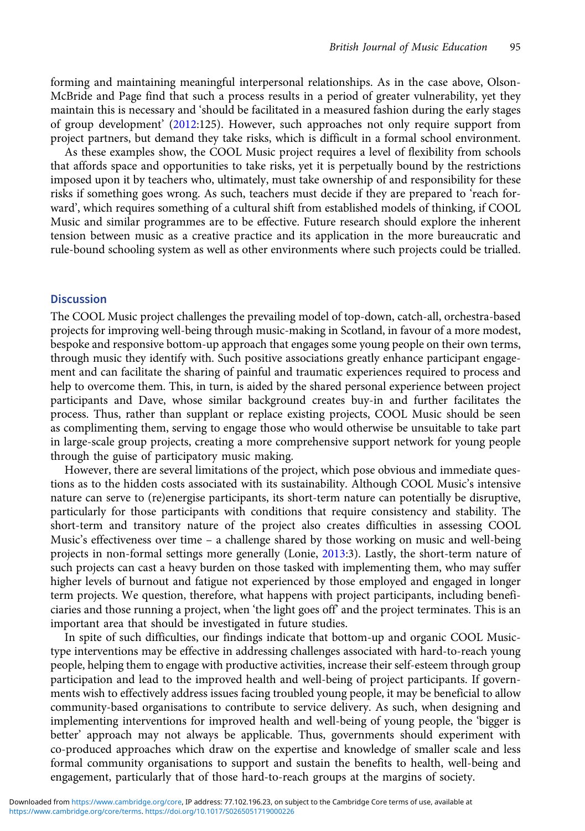forming and maintaining meaningful interpersonal relationships. As in the case above, Olson-McBride and Page find that such a process results in a period of greater vulnerability, yet they maintain this is necessary and 'should be facilitated in a measured fashion during the early stages of group development' [\(2012:](#page-10-0)125). However, such approaches not only require support from project partners, but demand they take risks, which is difficult in a formal school environment.

As these examples show, the COOL Music project requires a level of flexibility from schools that affords space and opportunities to take risks, yet it is perpetually bound by the restrictions imposed upon it by teachers who, ultimately, must take ownership of and responsibility for these risks if something goes wrong. As such, teachers must decide if they are prepared to 'reach forward', which requires something of a cultural shift from established models of thinking, if COOL Music and similar programmes are to be effective. Future research should explore the inherent tension between music as a creative practice and its application in the more bureaucratic and rule-bound schooling system as well as other environments where such projects could be trialled.

### **Discussion**

The COOL Music project challenges the prevailing model of top-down, catch-all, orchestra-based projects for improving well-being through music-making in Scotland, in favour of a more modest, bespoke and responsive bottom-up approach that engages some young people on their own terms, through music they identify with. Such positive associations greatly enhance participant engagement and can facilitate the sharing of painful and traumatic experiences required to process and help to overcome them. This, in turn, is aided by the shared personal experience between project participants and Dave, whose similar background creates buy-in and further facilitates the process. Thus, rather than supplant or replace existing projects, COOL Music should be seen as complimenting them, serving to engage those who would otherwise be unsuitable to take part in large-scale group projects, creating a more comprehensive support network for young people through the guise of participatory music making.

However, there are several limitations of the project, which pose obvious and immediate questions as to the hidden costs associated with its sustainability. Although COOL Music's intensive nature can serve to (re)energise participants, its short-term nature can potentially be disruptive, particularly for those participants with conditions that require consistency and stability. The short-term and transitory nature of the project also creates difficulties in assessing COOL Music's effectiveness over time – a challenge shared by those working on music and well-being projects in non-formal settings more generally (Lonie, [2013](#page-10-0):3). Lastly, the short-term nature of such projects can cast a heavy burden on those tasked with implementing them, who may suffer higher levels of burnout and fatigue not experienced by those employed and engaged in longer term projects. We question, therefore, what happens with project participants, including beneficiaries and those running a project, when 'the light goes off' and the project terminates. This is an important area that should be investigated in future studies.

In spite of such difficulties, our findings indicate that bottom-up and organic COOL Musictype interventions may be effective in addressing challenges associated with hard-to-reach young people, helping them to engage with productive activities, increase their self-esteem through group participation and lead to the improved health and well-being of project participants. If governments wish to effectively address issues facing troubled young people, it may be beneficial to allow community-based organisations to contribute to service delivery. As such, when designing and implementing interventions for improved health and well-being of young people, the 'bigger is better' approach may not always be applicable. Thus, governments should experiment with co-produced approaches which draw on the expertise and knowledge of smaller scale and less formal community organisations to support and sustain the benefits to health, well-being and engagement, particularly that of those hard-to-reach groups at the margins of society.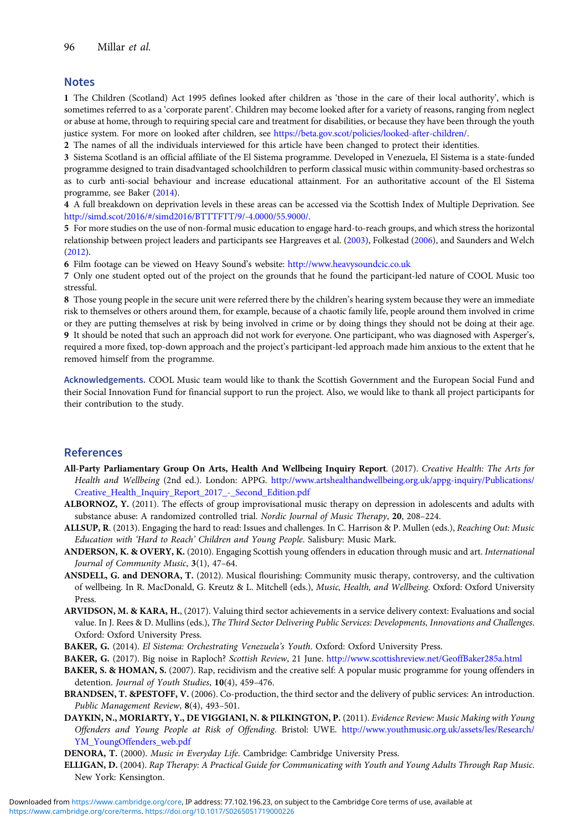#### <span id="page-9-0"></span>**Notes**

1 The Children (Scotland) Act 1995 defines looked after children as 'those in the care of their local authority', which is sometimes referred to as a 'corporate parent'. Children may become looked after for a variety of reasons, ranging from neglect or abuse at home, through to requiring special care and treatment for disabilities, or because they have been through the youth justice system. For more on looked after children, see [https://beta.gov.scot/policies/looked-after-children/.](https://beta.gov.scot/policies/looked-after-children/)

2 The names of all the individuals interviewed for this article have been changed to protect their identities.

3 Sistema Scotland is an official affiliate of the El Sistema programme. Developed in Venezuela, El Sistema is a state-funded programme designed to train disadvantaged schoolchildren to perform classical music within community-based orchestras so as to curb anti-social behaviour and increase educational attainment. For an authoritative account of the El Sistema programme, see Baker (2014).

4 A full breakdown on deprivation levels in these areas can be accessed via the Scottish Index of Multiple Deprivation. See <http://simd.scot/2016/#/simd2016/BTTTFTT/9/-4.0000/55.9000/>.

5 For more studies on the use of non-formal music education to engage hard-to-reach groups, and which stress the horizontal relationship between project leaders and participants see Hargreaves et al. ([2003\)](#page-10-0), Folkestad [\(2006\)](#page-10-0), and Saunders and Welch ([2012](#page-10-0)).

6 Film footage can be viewed on Heavy Sound's website: <http://www.heavysoundcic.co.uk>

7 Only one student opted out of the project on the grounds that he found the participant-led nature of COOL Music too stressful.

8 Those young people in the secure unit were referred there by the children's hearing system because they were an immediate risk to themselves or others around them, for example, because of a chaotic family life, people around them involved in crime or they are putting themselves at risk by being involved in crime or by doing things they should not be doing at their age. 9 It should be noted that such an approach did not work for everyone. One participant, who was diagnosed with Asperger's, required a more fixed, top-down approach and the project's participant-led approach made him anxious to the extent that he removed himself from the programme.

Acknowledgements. COOL Music team would like to thank the Scottish Government and the European Social Fund and their Social Innovation Fund for financial support to run the project. Also, we would like to thank all project participants for their contribution to the study.

# References

- All-Party Parliamentary Group On Arts, Health And Wellbeing Inquiry Report. (2017). Creative Health: The Arts for Health and Wellbeing (2nd ed.). London: APPG. [http://www.artshealthandwellbeing.org.uk/appg-inquiry/Publications/](http://www.artshealthandwellbeing.org.uk/appg-inquiry/Publications/Creative_Health_Inquiry_Report_2017_-_Second_Edition.pdf) [Creative\\_Health\\_Inquiry\\_Report\\_2017\\_-\\_Second\\_Edition.pdf](http://www.artshealthandwellbeing.org.uk/appg-inquiry/Publications/Creative_Health_Inquiry_Report_2017_-_Second_Edition.pdf)
- ALBORNOZ, Y. (2011). The effects of group improvisational music therapy on depression in adolescents and adults with substance abuse: A randomized controlled trial. Nordic Journal of Music Therapy, 20, 208-224.
- ALLSUP, R. (2013). Engaging the hard to read: Issues and challenges. In C. Harrison & P. Mullen (eds.), Reaching Out: Music Education with 'Hard to Reach' Children and Young People. Salisbury: Music Mark.
- ANDERSON, K. & OVERY, K. (2010). Engaging Scottish young offenders in education through music and art. International Journal of Community Music, 3(1), 47–64.
- ANSDELL, G. and DENORA, T. (2012). Musical flourishing: Community music therapy, controversy, and the cultivation of wellbeing. In R. MacDonald, G. Kreutz & L. Mitchell (eds.), Music, Health, and Wellbeing. Oxford: Oxford University Press.

ARVIDSON, M. & KARA, H., (2017). Valuing third sector achievements in a service delivery context: Evaluations and social value. In J. Rees & D. Mullins (eds.), The Third Sector Delivering Public Services: Developments, Innovations and Challenges. Oxford: Oxford University Press.

- BAKER, G. (2014). El Sistema: Orchestrating Venezuela's Youth. Oxford: Oxford University Press.
- BAKER, G. (2017). Big noise in Raploch? Scottish Review, 21 June. <http://www.scottishreview.net/GeoffBaker285a.html>
- BAKER, S. & HOMAN, S. (2007). Rap, recidivism and the creative self: A popular music programme for young offenders in detention. Journal of Youth Studies, 10(4), 459-476.
- BRANDSEN, T. &PESTOFF, V. (2006). Co-production, the third sector and the delivery of public services: An introduction. Public Management Review, 8(4), 493–501.
- DAYKIN, N., MORIARTY, Y., DE VIGGIANI, N. & PILKINGTON, P. (2011). Evidence Review: Music Making with Young Offenders and Young People at Risk of Offending. Bristol: UWE. [http://www.youthmusic.org.uk/assets/les/Research/](http://www.youthmusic.org.uk/assets/les/Research/YM_YoungOffenders_web.pdf) [YM\\_YoungOffenders\\_web.pdf](http://www.youthmusic.org.uk/assets/les/Research/YM_YoungOffenders_web.pdf)

DENORA, T. (2000). Music in Everyday Life. Cambridge: Cambridge University Press.

ELLIGAN, D. (2004). Rap Therapy: A Practical Guide for Communicating with Youth and Young Adults Through Rap Music. New York: Kensington.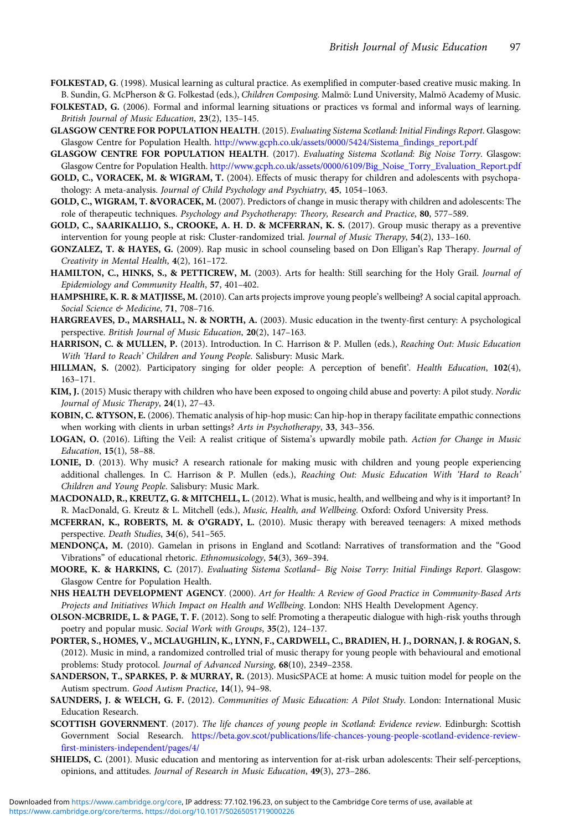- <span id="page-10-0"></span>FOLKESTAD, G. (1998). Musical learning as cultural practice. As exemplified in computer-based creative music making. In B. Sundin, G. McPherson & G. Folkestad (eds.), Children Composing. Malmö: Lund University, Malmö Academy of Music.
- FOLKESTAD, G. (2006). Formal and informal learning situations or practices vs formal and informal ways of learning. British Journal of Music Education, 23(2), 135–145.
- GLASGOW CENTRE FOR POPULATION HEALTH. (2015). Evaluating Sistema Scotland: Initial Findings Report. Glasgow: Glasgow Centre for Population Health. [http://www.gcph.co.uk/assets/0000/5424/Sistema\\_findings\\_report.pdf](http://www.gcph.co.uk/assets/0000/5424/Sistema_findings_report.pdf)
- GLASGOW CENTRE FOR POPULATION HEALTH. (2017). Evaluating Sistema Scotland: Big Noise Torry. Glasgow: Glasgow Centre for Population Health. [http://www.gcph.co.uk/assets/0000/6109/Big\\_Noise\\_Torry\\_Evaluation\\_Report.pdf](http://www.gcph.co.uk/assets/0000/6109/Big_Noise_Torry_Evaluation_Report.pdf)
- GOLD, C., VORACEK, M. & WIGRAM, T. (2004). Effects of music therapy for children and adolescents with psychopathology: A meta-analysis. Journal of Child Psychology and Psychiatry, 45, 1054–1063.
- GOLD, C., WIGRAM, T. &VORACEK, M. (2007). Predictors of change in music therapy with children and adolescents: The role of therapeutic techniques. Psychology and Psychotherapy: Theory, Research and Practice, 80, 577–589.
- GOLD, C., SAARIKALLIO, S., CROOKE, A. H. D. & MCFERRAN, K. S. (2017). Group music therapy as a preventive intervention for young people at risk: Cluster-randomized trial. Journal of Music Therapy, 54(2), 133–160.
- GONZALEZ, T. & HAYES, G. (2009). Rap music in school counseling based on Don Elligan's Rap Therapy. Journal of Creativity in Mental Health, 4(2), 161–172.
- HAMILTON, C., HINKS, S., & PETTICREW, M. (2003). Arts for health: Still searching for the Holy Grail. Journal of Epidemiology and Community Health, 57, 401–402.
- HAMPSHIRE, K. R. & MATJISSE, M. (2010). Can arts projects improve young people's wellbeing? A social capital approach. Social Science & Medicine, 71, 708-716.
- HARGREAVES, D., MARSHALL, N. & NORTH, A. (2003). Music education in the twenty-first century: A psychological perspective. British Journal of Music Education, 20(2), 147–163.
- HARRISON, C. & MULLEN, P. (2013). Introduction. In C. Harrison & P. Mullen (eds.), Reaching Out: Music Education With 'Hard to Reach' Children and Young People. Salisbury: Music Mark.
- HILLMAN, S. (2002). Participatory singing for older people: A perception of benefit'. Health Education, 102(4), 163–171.
- KIM, J. (2015) Music therapy with children who have been exposed to ongoing child abuse and poverty: A pilot study. Nordic Journal of Music Therapy, 24(1), 27–43.
- KOBIN, C. &TYSON, E. (2006). Thematic analysis of hip-hop music: Can hip-hop in therapy facilitate empathic connections when working with clients in urban settings? Arts in Psychotherapy, 33, 343-356.
- LOGAN, O. (2016). Lifting the Veil: A realist critique of Sistema's upwardly mobile path. Action for Change in Music Education, 15(1), 58–88.
- LONIE, D. (2013). Why music? A research rationale for making music with children and young people experiencing additional challenges. In C. Harrison & P. Mullen (eds.), Reaching Out: Music Education With 'Hard to Reach' Children and Young People. Salisbury: Music Mark.
- MACDONALD, R., KREUTZ, G. & MITCHELL, L. (2012). What is music, health, and wellbeing and why is it important? In R. MacDonald, G. Kreutz & L. Mitchell (eds.), Music, Health, and Wellbeing. Oxford: Oxford University Press.
- MCFERRAN, K., ROBERTS, M. & O'GRADY, L. (2010). Music therapy with bereaved teenagers: A mixed methods perspective. Death Studies, 34(6), 541–565.
- MENDONÇA, M. (2010). Gamelan in prisons in England and Scotland: Narratives of transformation and the "Good Vibrations" of educational rhetoric. Ethnomusicology, 54(3), 369–394.
- MOORE, K. & HARKINS, C. (2017). Evaluating Sistema Scotland- Big Noise Torry: Initial Findings Report. Glasgow: Glasgow Centre for Population Health.
- NHS HEALTH DEVELOPMENT AGENCY. (2000). Art for Health: A Review of Good Practice in Community-Based Arts Projects and Initiatives Which Impact on Health and Wellbeing. London: NHS Health Development Agency.
- OLSON-MCBRIDE, L. & PAGE, T. F. (2012). Song to self: Promoting a therapeutic dialogue with high-risk youths through poetry and popular music. Social Work with Groups, 35(2), 124–137.
- PORTER, S., HOMES, V., MCLAUGHLIN, K., LYNN, F., CARDWELL, C., BRADIEN, H. J., DORNAN, J. & ROGAN, S. (2012). Music in mind, a randomized controlled trial of music therapy for young people with behavioural and emotional problems: Study protocol. Journal of Advanced Nursing, 68(10), 2349–2358.
- SANDERSON, T., SPARKES, P. & MURRAY, R. (2013). MusicSPACE at home: A music tuition model for people on the Autism spectrum. Good Autism Practice, 14(1), 94–98.
- SAUNDERS, J. & WELCH, G. F. (2012). Communities of Music Education: A Pilot Study. London: International Music Education Research.
- SCOTTISH GOVERNMENT. (2017). The life chances of young people in Scotland: Evidence review. Edinburgh: Scottish Government Social Research. [https://beta.gov.scot/publications/life-chances-young-people-scotland-evidence-review](https://beta.gov.scot/publications/life-chances-young-people-scotland-evidence-review-first-ministers-independent/pages/4/)[first-ministers-independent/pages/4/](https://beta.gov.scot/publications/life-chances-young-people-scotland-evidence-review-first-ministers-independent/pages/4/)
- SHIELDS, C. (2001). Music education and mentoring as intervention for at-risk urban adolescents: Their self-perceptions, opinions, and attitudes. Journal of Research in Music Education, 49(3), 273–286.